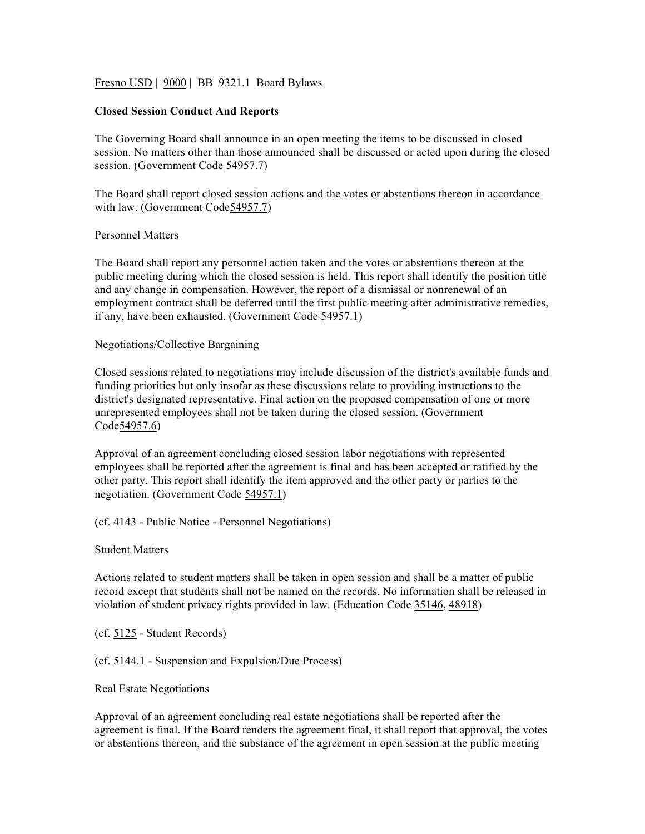Fresno USD | 9000 | BB 9321.1 Board Bylaws

## **Closed Session Conduct And Reports**

The Governing Board shall announce in an open meeting the items to be discussed in closed session. No matters other than those announced shall be discussed or acted upon during the closed session. (Government Code 54957.7)

The Board shall report closed session actions and the votes or abstentions thereon in accordance with law. (Government Code54957.7)

## Personnel Matters

The Board shall report any personnel action taken and the votes or abstentions thereon at the public meeting during which the closed session is held. This report shall identify the position title and any change in compensation. However, the report of a dismissal or nonrenewal of an employment contract shall be deferred until the first public meeting after administrative remedies, if any, have been exhausted. (Government Code 54957.1)

## Negotiations/Collective Bargaining

Closed sessions related to negotiations may include discussion of the district's available funds and funding priorities but only insofar as these discussions relate to providing instructions to the district's designated representative. Final action on the proposed compensation of one or more unrepresented employees shall not be taken during the closed session. (Government Code54957.6)

Approval of an agreement concluding closed session labor negotiations with represented employees shall be reported after the agreement is final and has been accepted or ratified by the other party. This report shall identify the item approved and the other party or parties to the negotiation. (Government Code 54957.1)

(cf. 4143 - Public Notice - Personnel Negotiations)

Student Matters

Actions related to student matters shall be taken in open session and shall be a matter of public record except that students shall not be named on the records. No information shall be released in violation of student privacy rights provided in law. (Education Code 35146, 48918)

(cf. 5125 - Student Records)

(cf. 5144.1 - Suspension and Expulsion/Due Process)

Real Estate Negotiations

Approval of an agreement concluding real estate negotiations shall be reported after the agreement is final. If the Board renders the agreement final, it shall report that approval, the votes or abstentions thereon, and the substance of the agreement in open session at the public meeting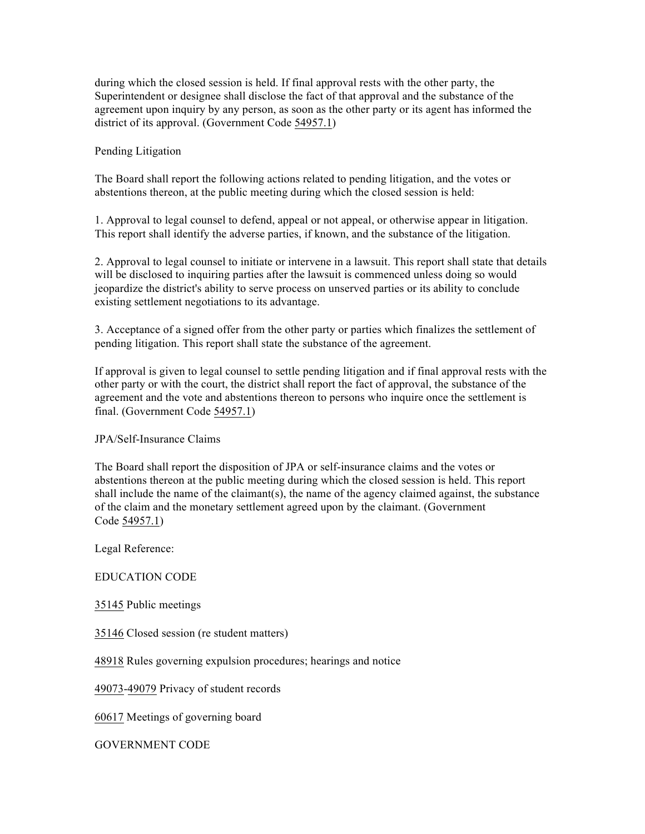during which the closed session is held. If final approval rests with the other party, the Superintendent or designee shall disclose the fact of that approval and the substance of the agreement upon inquiry by any person, as soon as the other party or its agent has informed the district of its approval. (Government Code 54957.1)

# Pending Litigation

The Board shall report the following actions related to pending litigation, and the votes or abstentions thereon, at the public meeting during which the closed session is held:

1. Approval to legal counsel to defend, appeal or not appeal, or otherwise appear in litigation. This report shall identify the adverse parties, if known, and the substance of the litigation.

2. Approval to legal counsel to initiate or intervene in a lawsuit. This report shall state that details will be disclosed to inquiring parties after the lawsuit is commenced unless doing so would jeopardize the district's ability to serve process on unserved parties or its ability to conclude existing settlement negotiations to its advantage.

3. Acceptance of a signed offer from the other party or parties which finalizes the settlement of pending litigation. This report shall state the substance of the agreement.

If approval is given to legal counsel to settle pending litigation and if final approval rests with the other party or with the court, the district shall report the fact of approval, the substance of the agreement and the vote and abstentions thereon to persons who inquire once the settlement is final. (Government Code 54957.1)

# JPA/Self-Insurance Claims

The Board shall report the disposition of JPA or self-insurance claims and the votes or abstentions thereon at the public meeting during which the closed session is held. This report shall include the name of the claimant(s), the name of the agency claimed against, the substance of the claim and the monetary settlement agreed upon by the claimant. (Government Code 54957.1)

Legal Reference:

# EDUCATION CODE

35145 Public meetings

35146 Closed session (re student matters)

48918 Rules governing expulsion procedures; hearings and notice

49073-49079 Privacy of student records

60617 Meetings of governing board

GOVERNMENT CODE